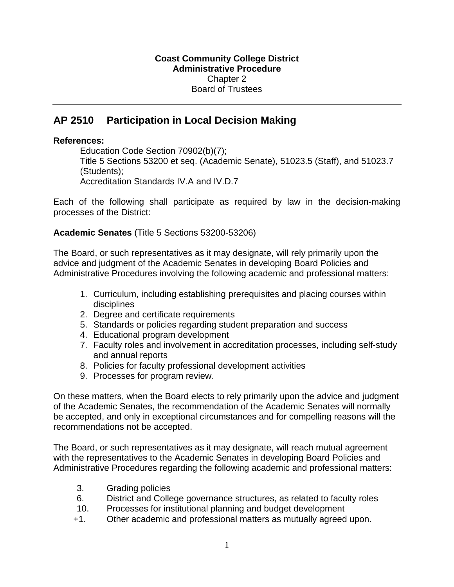## **AP 2510 Participation in Local Decision Making**

## **References:**

Education Code Section 70902(b)(7); Title 5 Sections 53200 et seq. (Academic Senate), 51023.5 (Staff), and 51023.7 (Students); Accreditation Standards IV.A and IV.D.7

Each of the following shall participate as required by law in the decision-making processes of the District:

**Academic Senates** (Title 5 Sections 53200-53206)

The Board, or such representatives as it may designate, will rely primarily upon the advice and judgment of the Academic Senates in developing Board Policies and Administrative Procedures involving the following academic and professional matters:

- 1. Curriculum, including establishing prerequisites and placing courses within disciplines
- 2. Degree and certificate requirements
- 5. Standards or policies regarding student preparation and success
- 4. Educational program development
- 7. Faculty roles and involvement in accreditation processes, including self-study and annual reports
- 8. Policies for faculty professional development activities
- 9. Processes for program review.

On these matters, when the Board elects to rely primarily upon the advice and judgment of the Academic Senates, the recommendation of the Academic Senates will normally be accepted, and only in exceptional circumstances and for compelling reasons will the recommendations not be accepted.

The Board, or such representatives as it may designate, will reach mutual agreement with the representatives to the Academic Senates in developing Board Policies and Administrative Procedures regarding the following academic and professional matters:

- 3. Grading policies
- 6. District and College governance structures, as related to faculty roles
- 10. Processes for institutional planning and budget development
- +1. Other academic and professional matters as mutually agreed upon.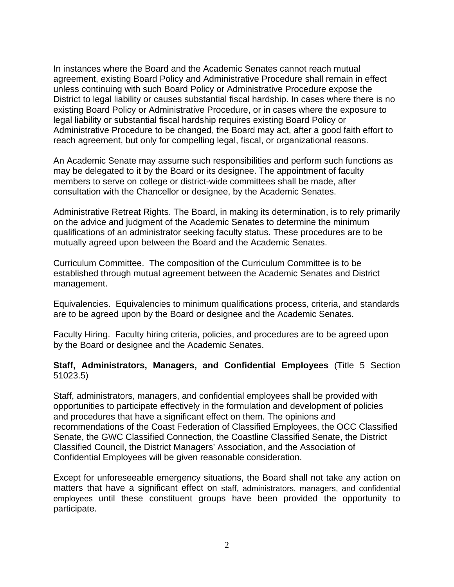In instances where the Board and the Academic Senates cannot reach mutual agreement, existing Board Policy and Administrative Procedure shall remain in effect unless continuing with such Board Policy or Administrative Procedure expose the District to legal liability or causes substantial fiscal hardship. In cases where there is no existing Board Policy or Administrative Procedure, or in cases where the exposure to legal liability or substantial fiscal hardship requires existing Board Policy or Administrative Procedure to be changed, the Board may act, after a good faith effort to reach agreement, but only for compelling legal, fiscal, or organizational reasons.

An Academic Senate may assume such responsibilities and perform such functions as may be delegated to it by the Board or its designee. The appointment of faculty members to serve on college or district-wide committees shall be made, after consultation with the Chancellor or designee, by the Academic Senates.

Administrative Retreat Rights. The Board, in making its determination, is to rely primarily on the advice and judgment of the Academic Senates to determine the minimum qualifications of an administrator seeking faculty status. These procedures are to be mutually agreed upon between the Board and the Academic Senates.

Curriculum Committee. The composition of the Curriculum Committee is to be established through mutual agreement between the Academic Senates and District management.

Equivalencies. Equivalencies to minimum qualifications process, criteria, and standards are to be agreed upon by the Board or designee and the Academic Senates.

Faculty Hiring. Faculty hiring criteria, policies, and procedures are to be agreed upon by the Board or designee and the Academic Senates.

## **Staff, Administrators, Managers, and Confidential Employees** (Title 5 Section 51023.5)

Staff, administrators, managers, and confidential employees shall be provided with opportunities to participate effectively in the formulation and development of policies and procedures that have a significant effect on them. The opinions and recommendations of the Coast Federation of Classified Employees, the OCC Classified Senate, the GWC Classified Connection, the Coastline Classified Senate, the District Classified Council, the District Managers' Association, and the Association of Confidential Employees will be given reasonable consideration.

Except for unforeseeable emergency situations, the Board shall not take any action on matters that have a significant effect on staff, administrators, managers, and confidential employees until these constituent groups have been provided the opportunity to participate.